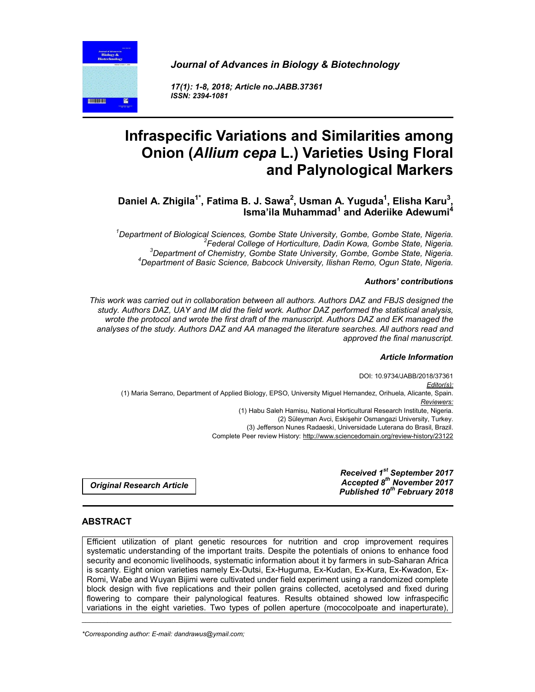**THE THEFT** 

*Journal of Advances in Biology & Biotechnology*

*17(1): 1-8, 2018; Article no.JABB.37361 ISSN: 2394-1081*

# **Infraspecific Variations and Similarities among Onion (***Allium cepa* **L.) Varieties Using Floral and Palynological Markers**

Daniel A. Zhigila<sup>1\*</sup>, Fatima B. J. Sawa<sup>2</sup>, Usman A. Yuguda<sup>1</sup>, Elisha Karu<sup>3</sup> **, Isma'ila Muhammad<sup>1</sup> and Aderiike Adewumi4**

*1 Department of Biological Sciences, Gombe State University, Gombe, Gombe State, Nigeria. <sup>2</sup> Federal College of Horticulture, Dadin Kowa, Gombe State, Nigeria. <sup>3</sup> Department of Chemistry, Gombe State University, Gombe, Gombe State, Nigeria. <sup>4</sup> Department of Basic Science, Babcock University, Ilishan Remo, Ogun State, Nigeria.*

#### *Authors' contributions*

*This work was carried out in collaboration between all authors. Authors DAZ and FBJS designed the study. Authors DAZ, UAY and IM did the field work. Author DAZ performed the statistical analysis, wrote the protocol and wrote the first draft of the manuscript. Authors DAZ and EK managed the analyses of the study. Authors DAZ and AA managed the literature searches. All authors read and approved the final manuscript.*

#### *Article Information*

DOI: 10.9734/JABB/2018/37361 *Editor(s):* (1) Maria Serrano, Department of Applied Biology, EPSO, University Miguel Hernandez, Orihuela, Alicante, Spain. *Reviewers:* (1) Habu Saleh Hamisu, National Horticultural Research Institute, Nigeria. (2) Süleyman Avci, Eskişehir Osmangazi University, Turkey. (3) Jefferson Nunes Radaeski, Universidade Luterana do Brasil, Brazil. Complete Peer review History: http://www.sciencedomain.org/review-history/23122

*Original Research Article*

*Received 1st September 2017 Accepted 8th November 2017 Published 10th February 2018*

### **ABSTRACT**

Efficient utilization of plant genetic resources for nutrition and crop improvement requires systematic understanding of the important traits. Despite the potentials of onions to enhance food security and economic livelihoods, systematic information about it by farmers in sub-Saharan Africa is scanty. Eight onion varieties namely Ex-Dutsi, Ex-Huguma, Ex-Kudan, Ex-Kura, Ex-Kwadon, Ex-Romi, Waɓe and Wuyan Bijimi were cultivated under field experiment using a randomized complete block design with five replications and their pollen grains collected, acetolysed and fixed during flowering to compare their palynological features. Results obtained showed low infraspecific variations in the eight varieties. Two types of pollen aperture (mococolpoate and inaperturate),

\_\_\_\_\_\_\_\_\_\_\_\_\_\_\_\_\_\_\_\_\_\_\_\_\_\_\_\_\_\_\_\_\_\_\_\_\_\_\_\_\_\_\_\_\_\_\_\_\_\_\_\_\_\_\_\_\_\_\_\_\_\_\_\_\_\_\_\_\_\_\_\_\_\_\_\_\_\_\_\_\_\_\_\_\_\_\_\_\_\_\_\_\_\_\_\_\_\_\_\_\_

*\*Corresponding author: E-mail: dandrawus@ymail.com;*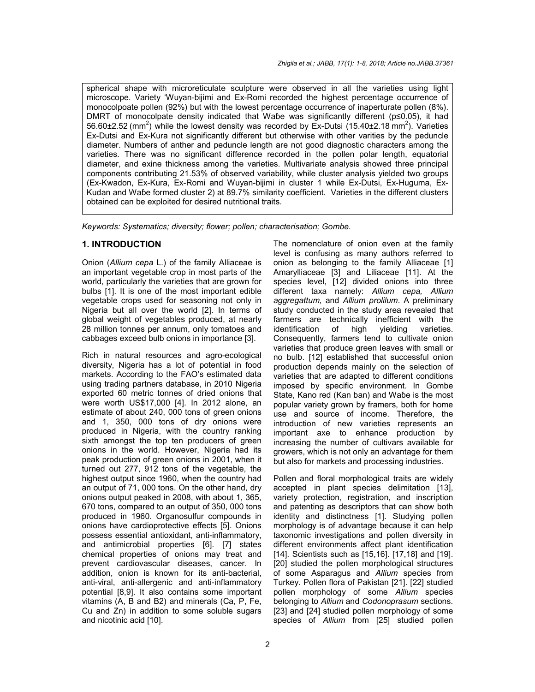spherical shape with microreticulate sculpture were observed in all the varieties using light microscope. Variety 'Wuyan-bijimi and Ex-Romi recorded the highest percentage occurrence of monocolpoate pollen (92%) but with the lowest percentage occurrence of inaperturate pollen (8%). DMRT of monocolpate density indicated that Waɓe was significantly different (p≤0.05), it had 56.60 $\pm$ 2.52 (mm<sup>2</sup>) while the lowest density was recorded by Ex-Dutsi (15.40 $\pm$ 2.18 mm<sup>2</sup>). Varieties Ex-Dutsi and Ex-Kura not significantly different but otherwise with other varities by the peduncle diameter. Numbers of anther and peduncle length are not good diagnostic characters among the varieties. There was no significant difference recorded in the pollen polar length, equatorial diameter, and exine thickness among the varieties. Multivariate analysis showed three principal components contributing 21.53% of observed variability, while cluster analysis yielded two groups (Ex-Kwadon, Ex-Kura, Ex-Romi and Wuyan-bijimi in cluster 1 while Ex-Dutsi, Ex-Huguma, Ex-Kudan and Waɓe formed cluster 2) at 89.7% similarity coefficient. Varieties in the different clusters obtained can be exploited for desired nutritional traits.

*Keywords: Systematics; diversity; flower; pollen; characterisation; Gombe.*

#### **1. INTRODUCTION**

Onion (*Allium cepa* L.) of the family Alliaceae is an important vegetable crop in most parts of the world, particularly the varieties that are grown for bulbs [1]. It is one of the most important edible vegetable crops used for seasoning not only in Nigeria but all over the world [2]. In terms of global weight of vegetables produced, at nearly 28 million tonnes per annum, only tomatoes and cabbages exceed bulb onions in importance [3].

Rich in natural resources and agro-ecological diversity, Nigeria has a lot of potential in food markets. According to the FAO's estimated data using trading partners database, in 2010 Nigeria exported 60 metric tonnes of dried onions that were worth US\$17,000 [4]. In 2012 alone, an estimate of about 240, 000 tons of green onions and 1, 350, 000 tons of dry onions were produced in Nigeria, with the country ranking sixth amongst the top ten producers of green onions in the world. However, Nigeria had its peak production of green onions in 2001, when it turned out 277, 912 tons of the vegetable, the highest output since 1960, when the country had an output of 71, 000 tons. On the other hand, dry onions output peaked in 2008, with about 1, 365, 670 tons, compared to an output of 350, 000 tons produced in 1960. Organosulfur compounds in onions have cardioprotective effects [5]. Onions possess essential antioxidant, anti-inflammatory, and antimicrobial properties [6]. [7] states chemical properties of onions may treat and prevent cardiovascular diseases, cancer. In addition, onion is known for its anti-bacterial, anti-viral, anti-allergenic and anti-inflammatory potential [8,9]. It also contains some important vitamins (A, B and B2) and minerals (Ca, P, Fe, Cu and Zn) in addition to some soluble sugars and nicotinic acid [10].

The nomenclature of onion even at the family level is confusing as many authors referred to onion as belonging to the family Alliaceae [1] Amarylliaceae [3] and Liliaceae [11]. At the species level, [12] divided onions into three different taxa namely: *Allium cepa, Allium aggregattum,* and *Allium prolilum*. A preliminary study conducted in the study area revealed that farmers are technically inefficient with the identification of high yielding varieties. Consequently, farmers tend to cultivate onion varieties that produce green leaves with small or no bulb. [12] established that successful onion production depends mainly on the selection of varieties that are adapted to different conditions imposed by specific environment. In Gombe State, Kano red (Kan ban) and Waɓe is the most popular variety grown by framers, both for home use and source of income. Therefore, the introduction of new varieties represents an important axe to enhance production by increasing the number of cultivars available for growers, which is not only an advantage for them but also for markets and processing industries.

Pollen and floral morphological traits are widely accepted in plant species delimitation [13], variety protection, registration, and inscription and patenting as descriptors that can show both identity and distinctness [1]. Studying pollen morphology is of advantage because it can help taxonomic investigations and pollen diversity in different environments affect plant identification [14]. Scientists such as [15,16]. [17,18] and [19]. [20] studied the pollen morphological structures of some Asparagus and *Allium* species from Turkey. Pollen flora of Pakistan [21]. [22] studied pollen morphology of some *Allium* species belonging to *Allium* and *Codonoprasum* sections. [23] and [24] studied pollen morphology of some species of *Allium* from [25] studied pollen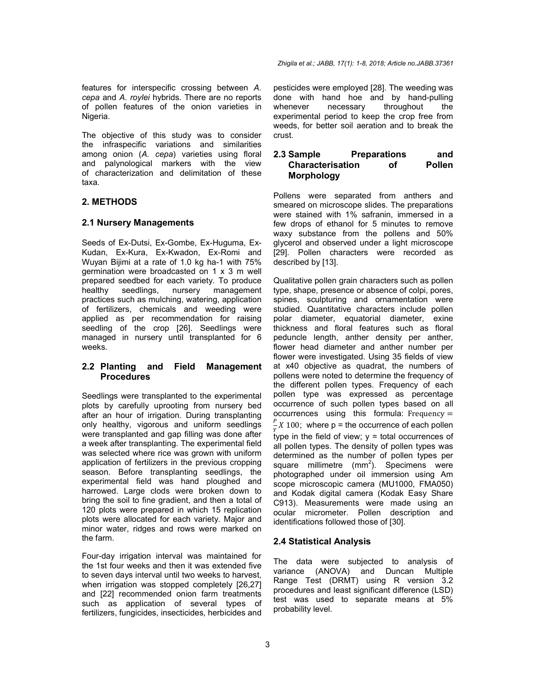features for interspecific crossing between *A. cepa* and *A. roylei* hybrids. There are no reports of pollen features of the onion varieties in Nigeria.

The objective of this study was to consider the infraspecific variations and similarities among onion (*A. cepa*) varieties using floral and palynological markers with the view of characterization and delimitation of these taxa.

# **2. METHODS**

### **2.1 Nursery Managements**

Seeds of Ex-Dutsi, Ex-Gombe, Ex-Huguma, Ex-Kudan, Ex-Kura, Ex-Kwadon, Ex-Romi and Wuyan Bijimi at a rate of 1.0 kg ha-1 with 75% germination were broadcasted on 1 x 3 m well prepared seedbed for each variety. To produce healthy seedlings, nursery management practices such as mulching, watering, application of fertilizers, chemicals and weeding were applied as per recommendation for raising seedling of the crop [26]. Seedlings were managed in nursery until transplanted for 6 weeks.

### **2.2 Planting and Field Management Procedures**

Seedlings were transplanted to the experimental plots by carefully uprooting from nursery bed after an hour of irrigation. During transplanting only healthy, vigorous and uniform seedlings were transplanted and gap filling was done after a week after transplanting. The experimental field was selected where rice was grown with uniform application of fertilizers in the previous cropping season. Before transplanting seedlings, the experimental field was hand ploughed and harrowed. Large clods were broken down to bring the soil to fine gradient, and then a total of 120 plots were prepared in which 15 replication plots were allocated for each variety. Major and minor water, ridges and rows were marked on the farm.

Four-day irrigation interval was maintained for the 1st four weeks and then it was extended five to seven days interval until two weeks to harvest, when irrigation was stopped completely [26,27] and [22] recommended onion farm treatments such as application of several types of fertilizers, fungicides, insecticides, herbicides and pesticides were employed [28]. The weeding was done with hand hoe and by hand-pulling whenever necessary throughout the experimental period to keep the crop free from weeds, for better soil aeration and to break the crust.

#### **2.3 Sample Preparations and Characterisation of Pollen Morphology**

Pollens were separated from anthers and smeared on microscope slides. The preparations were stained with 1% safranin, immersed in a few drops of ethanol for 5 minutes to remove waxy substance from the pollens and 50% glycerol and observed under a light microscope [29]. Pollen characters were recorded as described by [13].

Qualitative pollen grain characters such as pollen type, shape, presence or absence of colpi, pores, spines, sculpturing and ornamentation were studied. Quantitative characters include pollen polar diameter, equatorial diameter, exine thickness and floral features such as floral peduncle length, anther density per anther, flower head diameter and anther number per flower were investigated. Using 35 fields of view at x40 objective as quadrat, the numbers of pollens were noted to determine the frequency of the different pollen types. Frequency of each pollen type was expressed as percentage occurrence of such pollen types based on all occurrences using this formula:  $Frequency =$  $\frac{p}{Y}X$  100; where p = the occurrence of each pollen type in the field of view; y = total occurrences of all pollen types. The density of pollen types was determined as the number of pollen types per square millimetre  $(mm^2)$ . Specimens were photographed under oil immersion using Am scope microscopic camera (MU1000, FMA050) and Kodak digital camera (Kodak Easy Share C913). Measurements were made using an ocular micrometer. Pollen description and identifications followed those of [30].

# **2.4 Statistical Analysis**

The data were subjected to analysis of variance (ANOVA) and Duncan Multiple Range Test (DRMT) using R version 3.2 procedures and least significant difference (LSD) test was used to separate means at 5% probability level.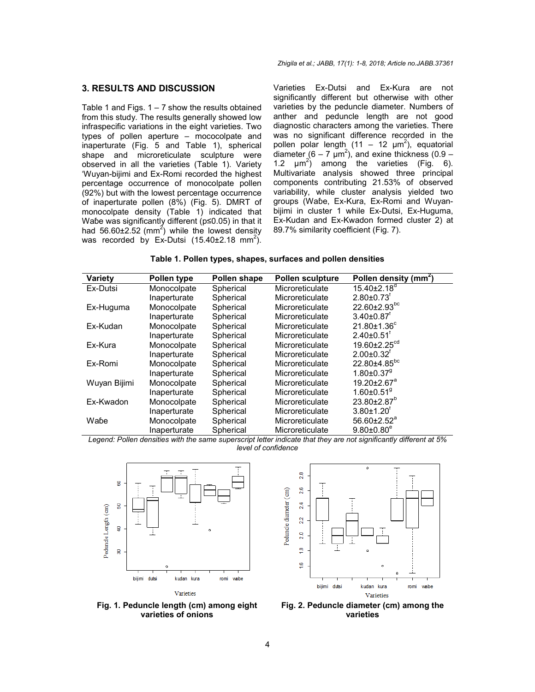#### **3. RESULTS AND DISCUSSION**

Table 1 and Figs.  $1 - 7$  show the results obtained from this study. The results generally showed low infraspecific variations in the eight varieties. Two types of pollen aperture – mococolpate and inaperturate (Fig. 5 and Table 1), spherical shape and microreticulate sculpture were observed in all the varieties (Table 1). Variety 'Wuyan-bijimi and Ex-Romi recorded the highest percentage occurrence of monocolpate pollen (92%) but with the lowest percentage occurrence of inaperturate pollen (8%) (Fig. 5). DMRT of monocolpate density (Table 1) indicated that Waɓe was significantly different (p≤0.05) in that it had 56.60 $\pm$ 2.52 (mm<sup>2</sup>) while the lowest density was recorded by Ex-Dutsi  $(15.40\pm2.18 \text{ mm}^2)$ . Varieties Ex-Dutsi and Ex-Kura are not significantly different but otherwise with other varieties by the peduncle diameter. Numbers of anther and peduncle length are not good diagnostic characters among the varieties. There was no significant difference recorded in the pollen polar length  $(11 - 12 \mu m^2)$ , equatorial diameter  $(6 - 7 \mu m^2)$ , and exine thickness  $(0.9 -$ 1.2  $\mu$ m<sup>2</sup>) among the varieties (Fig. 6). Multivariate analysis showed three principal components contributing 21.53% of observed variability, while cluster analysis yielded two groups (Waɓe, Ex-Kura, Ex-Romi and Wuyanbijimi in cluster 1 while Ex-Dutsi, Ex-Huguma, Ex-Kudan and Ex-Kwadon formed cluster 2) at 89.7% similarity coefficient (Fig. 7).

| Table 1. Pollen types, shapes, surfaces and pollen densities |  |  |  |
|--------------------------------------------------------------|--|--|--|
|--------------------------------------------------------------|--|--|--|

| Variety      | Pollen type  | Pollen shape | <b>Pollen sculpture</b> | Pollen density (mm <sup>2</sup> ) |
|--------------|--------------|--------------|-------------------------|-----------------------------------|
| Ex-Dutsi     | Monocolpate  | Spherical    | Microreticulate         | $15.40\pm2.18^{\circ}$            |
|              | Inaperturate | Spherical    | Microreticulate         | $2.80 \pm 0.73$ <sup>r</sup>      |
| Ex-Huguma    | Monocolpate  | Spherical    | Microreticulate         | 22.60±2.93bc                      |
|              | Inaperturate | Spherical    | Microreticulate         | $3.40{\pm}0.87$ <sup>T</sup>      |
| Ex-Kudan     | Monocolpate  | Spherical    | Microreticulate         | $21.80 \pm 1.36^c$                |
|              | Inaperturate | Spherical    | Microreticulate         | $2.40 \pm 0.51$ <sup>f</sup>      |
| Ex-Kura      | Monocolpate  | Spherical    | Microreticulate         | 19.60±2.25 <sup>cd</sup>          |
|              | Inaperturate | Spherical    | Microreticulate         | $2.00 \pm 0.32$ <sup>t</sup>      |
| Ex-Romi      | Monocolpate  | Spherical    | Microreticulate         | 22.80±4.85bc                      |
|              | Inaperturate | Spherical    | Microreticulate         | $1.80 \pm 0.37$ <sup>9</sup>      |
| Wuyan Bijimi | Monocolpate  | Spherical    | Microreticulate         | 19.20±2.67 <sup>a</sup>           |
|              | Inaperturate | Spherical    | Microreticulate         | $1.60 \pm 0.51$ <sup>9</sup>      |
| Ex-Kwadon    | Monocolpate  | Spherical    | Microreticulate         | $23.80 \pm 2.87$ <sup>b</sup>     |
|              | Inaperturate | Spherical    | Microreticulate         | $3.80 \pm 1.20$ <sup>r</sup>      |
| Wabe         | Monocolpate  | Spherical    | Microreticulate         | 56.60±2.52 <sup>a</sup>           |
|              | Inaperturate | Spherical    | Microreticulate         | $9.80 \pm 0.80$ <sup>e</sup>      |

*Legend: Pollen densities with the same superscript letter indicate that they are not significantly different at 5% level of confidence*



**Fig. 1. Peduncle length (cm) among eight varieties of onions**



**Fig. 2. Peduncle diameter (cm) among the varieties**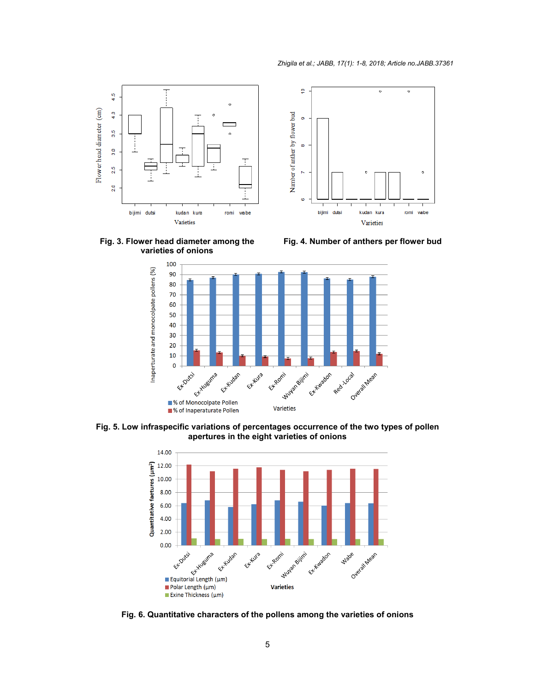

**Fig. 3. Flower head diameter among the varieties of onions**

**Fig. 4. Number of anthers per flower bud**



**Fig. 5. Low infraspecific variations of percentages occurrence of the two types of pollen apertures in the eight varieties of onions**



**Fig. 6. Quantitative characters of the pollens among the varieties of onions**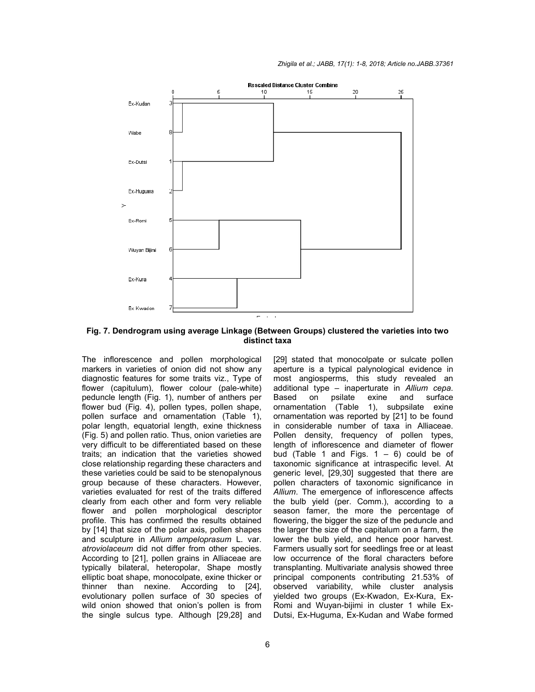

**Fig. 7. Dendrogram using average Linkage (Between Groups) clustered the varieties into two distinct taxa**

The inflorescence and pollen morphological markers in varieties of onion did not show any diagnostic features for some traits viz., Type of The inflorescence and pollen morphological<br>markers in varieties of onion did not show any<br>diagnostic features for some traits viz., Type of<br>flower (capitulum), flower colour (pale-white) peduncle length (Fig. 1), number of anthers per flower bud (Fig. 4), pollen types, pollen shape, pollen surface and ornamentation (Table 1), polar length, equatorial length, exine thickness (Fig. 5) and pollen ratio. Thus, onion varieties are very difficult to be differentiated based on these traits; an indication that the varieties showed close relationship regarding these characters and these varieties could be said to be stenopalynous group because of these characters. However, varieties evaluated for rest of the traits differed clearly from each other and form very relia flower and pollen morphological descriptor profile. This has confirmed the results obtained by [14] that size of the polar axis, pollen shapes and sculpture in *Allium ampeloprasum* L. var. *atroviolaceum* did not differ from other species. According to [21], pollen grains in Alliaceae are typically bilateral, heteropolar, Shape mostly elliptic boat shape, monocolpate, exine thicker or thinner than nexine. According to [24], evolutionary pollen surface of 30 species of wild onion showed that onion's pollen is from the single sulcus type. Although [29,28] and peduncle length (Fig. 1), number of anthers per<br>flower bud (Fig. 4), pollen types, pollen shape,<br>pollen surface and ornamentation (Table 1),<br>polar length, equatorial length, exine thickness<br>(Fig. 5) and pollen ratio. Thus, flower and pollen morphological de<br>profile. This has confirmed the results o<br>by [14] that size of the polar axis, pollen atroviolaceum did not differ from other species.<br>According to [21], pollen grains in Alliaceae are<br>typically bilateral, heteropolar, Shape mostly<br>elliptic boat shape, monocolpate, exine thicker or<br>thinner than nexine. Acco itionary pollen surface of 30 species of<br>onion showed that onion's pollen is from<br>single sulcus type. Although [29,28] and [29] stated that monocolpate or sulcate pollen aperture is a typical palynological evidence in [29] stated that monocolpate or sulcate pollen<br>aperture is a typical palynological evidence in<br>most angiosperms, this study revealed an additional type – inaperturate in *Allium cepa*. Based on psilate exine and surface ornamentation (Table 1), subpsilate exine ornamentation was reported by [21] to be found in considerable number of taxa in Alliaceae. Pollen density, frequency of pollen types, length of inflorescence and diameter of flower bud (Table 1 and Figs.  $1 - 6$ ) could be of taxonomic significance at intraspecific level. At generic level, [29,30] suggested that there are pollen characters of taxonomic significance in *Allium*. The emergence of inflorescence affects the bulb yield (per. Comm.), according to a season famer, the more the percentage of flowering, the bigger the size of the peduncle and the larger the size of the capitalum on a farm, the lower the bulb yield, and hence poor harvest. Farmers usually sort for seedlings free or at least low occurrence of the floral characters before transplanting. Multivariate analysis showed three principal components contributing 21.53% of observed variability, while cluster analysis yielded two groups (Ex-Kwadon, Ex Romi and Wuyan-bijimi in cluster 1 while Ex-Dutsi, Ex-Huguma, Ex-Kudan and Waɓe formed considerable number of taxa in Alliaceae.<br>en density, frequency of pollen types,<br>th of inflorescence and diameter of flower<br>(Table 1 and Figs.  $1 - 6$ ) could be of<br>phomic significance at intraspecific level. At<br>eric level,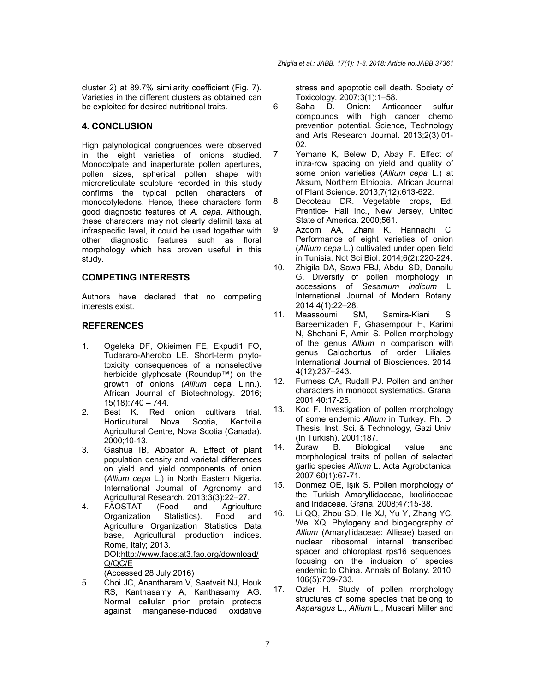cluster 2) at 89.7% similarity coefficient (Fig. 7). Varieties in the different clusters as obtained can be exploited for desired nutritional traits.

# **4. CONCLUSION**

High palynological congruences were observed in the eight varieties of onions studied. Monocolpate and inaperturate pollen apertures, pollen sizes, spherical pollen shape with microreticulate sculpture recorded in this study confirms the typical pollen characters of monocotyledons. Hence, these characters form good diagnostic features of *A. cepa*. Although, these characters may not clearly delimit taxa at infraspecific level, it could be used together with other diagnostic features such as floral morphology which has proven useful in this study.

# **COMPETING INTERESTS**

Authors have declared that no competing interests exist.

# **REFERENCES**

- 1. Ogeleka DF, Okieimen FE, Ekpudi1 FO, Tudararo-Aherobo LE. Short-term phytotoxicity consequences of a nonselective herbicide glyphosate (Roundup™) on the growth of onions (*Allium* cepa Linn.). African Journal of Biotechnology. 2016; 15(18):740 – 744.
- 2. Best K. Red onion cultivars trial. Horticultural Nova Scotia, Kentville Agricultural Centre, Nova Scotia (Canada). 2000;10-13.
- 3. Gashua IB, Abbator A. Effect of plant population density and varietal differences on yield and yield components of onion (*Allium cepa* L.) in North Eastern Nigeria. International Journal of Agronomy and Agricultural Research. 2013;3(3):22–27.
- 4. FAOSTAT (Food and Agriculture Organization Statistics). Food and Agriculture Organization Statistics Data base, Agricultural production indices. Rome, Italy; 2013. DOI:http://www.faostat3.fao.org/download/ Q/QC/E (Accessed 28 July 2016)
- 5. Choi JC, Anantharam V, Saetveit NJ, Houk RS, Kanthasamy A, Kanthasamy AG. Normal cellular prion protein protects against manganese-induced oxidative

stress and apoptotic cell death. Society of Toxicology. 2007;3(1):1–58.

- 6. Saha D. Onion: Anticancer sulfur compounds with high cancer chemo prevention potential. Science, Technology and Arts Research Journal. 2013;2(3):01- 02.
- 7. Yemane K, Belew D, Abay F. Effect of intra-row spacing on yield and quality of some onion varieties (*Allium cepa* L.) at Aksum, Northern Ethiopia. African Journal of Plant Science. 2013;7(12):613-622.
- 8. Decoteau DR. Vegetable crops, Ed. Prentice- Hall Inc., New Jersey, United State of America. 2000;561.
- 9. Azoom AA, Zhani K, Hannachi C. Performance of eight varieties of onion (*Allium cepa* L.) cultivated under open field in Tunisia. Not Sci Biol. 2014;6(2):220-224.
- 10. Zhigila DA, Sawa FBJ, Abdul SD, Danailu G. Diversity of pollen morphology in accessions of *Sesamum indicum* L. International Journal of Modern Botany. 2014;4(1):22–28.
- 11. Maassoumi SM, Samira-Kiani S, Bareemizadeh F, Ghasempour H, Karimi N, Shohani F, Amiri S. Pollen morphology of the genus *Allium* in comparison with genus Calochortus of order Liliales. International Journal of Biosciences. 2014; 4(12):237–243.
- 12. Furness CA, Rudall PJ. Pollen and anther characters in monocot systematics. Grana. 2001;40:17-25.
- 13. Koc F. Investigation of pollen morphology of some endemic *Allium* in Turkey. Ph. D. Thesis. Inst. Sci. & Technology, Gazi Univ. (In Turkish). 2001;187.
- 14. Żuraw B. Biological value and morphological traits of pollen of selected garlic species *Allium* L. Acta Agrobotanica. 2007;60(1):67-71.
- 15. Donmez OE, Işık S. Pollen morphology of the Turkish Amaryllidaceae, Ixıoliriaceae and Iridaceae. Grana. 2008;47:15-38.
- 16. Li QQ, Zhou SD, He XJ, Yu Y, Zhang YC, Wei XQ. Phylogeny and biogeography of *Allium* (Amaryllidaceae: Allieae) based on nuclear ribosomal internal transcribed spacer and chloroplast rps16 sequences, focusing on the inclusion of species endemic to China. Annals of Botany. 2010; 106(5):709-733.
- 17. Ozler H. Study of pollen morphology structures of some species that belong to *Asparagus* L., *Allium* L., Muscari Miller and